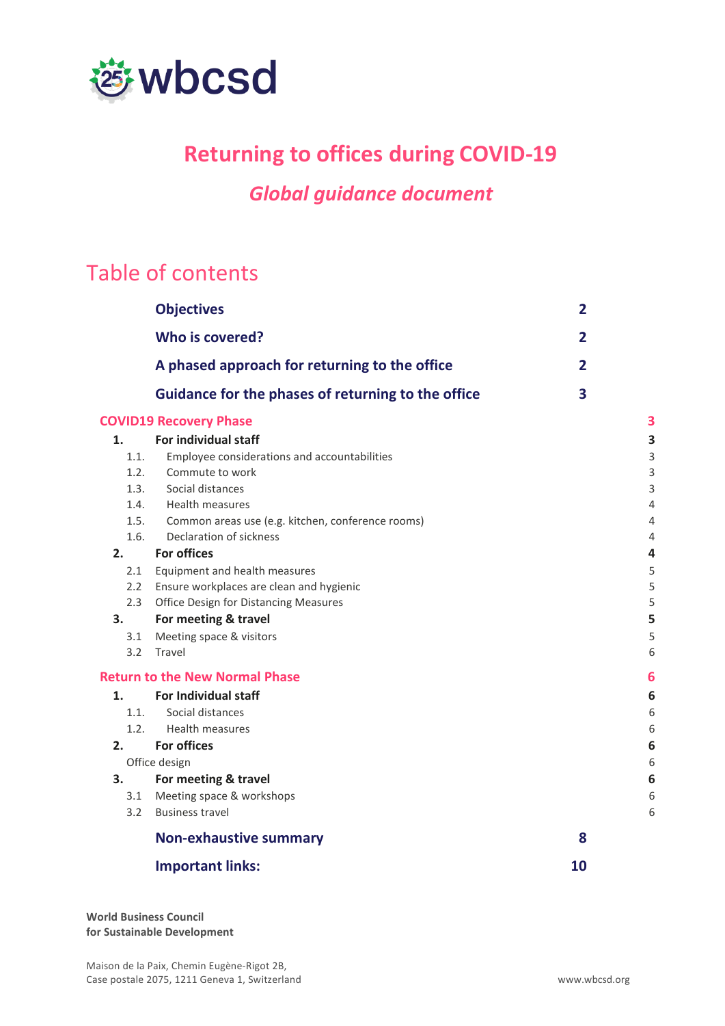

### **Returning to offices during COVID-19**

### *Global guidance document*

# Table of contents

|      | <b>Objectives</b>                                  | $\mathbf{2}$   |   |
|------|----------------------------------------------------|----------------|---|
|      | Who is covered?                                    | $\overline{2}$ |   |
|      | A phased approach for returning to the office      | $\overline{2}$ |   |
|      | Guidance for the phases of returning to the office | 3              |   |
|      | <b>COVID19 Recovery Phase</b>                      |                | 3 |
| 1.   | For individual staff                               |                | 3 |
| 1.1. | Employee considerations and accountabilities       |                | 3 |
| 1.2. | Commute to work                                    |                | 3 |
| 1.3. | Social distances                                   |                | 3 |
| 1.4. | Health measures                                    |                | 4 |
| 1.5. | Common areas use (e.g. kitchen, conference rooms)  |                | 4 |
| 1.6. | Declaration of sickness                            |                | 4 |
| 2.   | <b>For offices</b>                                 |                | 4 |
| 2.1  | Equipment and health measures                      |                | 5 |
| 2.2  | Ensure workplaces are clean and hygienic           |                | 5 |
| 2.3  | Office Design for Distancing Measures              |                | 5 |
| 3.   | For meeting & travel                               |                | 5 |
| 3.1  | Meeting space & visitors                           |                | 5 |
|      | 3.2 Travel                                         |                | 6 |
|      | <b>Return to the New Normal Phase</b>              |                | 6 |
| 1.   | <b>For Individual staff</b>                        |                | 6 |
| 1.1. | Social distances                                   |                | 6 |
| 1.2. | <b>Health measures</b>                             |                | 6 |
| 2.   | <b>For offices</b>                                 |                | 6 |
|      | Office design                                      |                | 6 |
| 3.   | For meeting & travel                               |                | 6 |
|      | 3.1 Meeting space & workshops                      |                | 6 |
| 3.2  | <b>Business travel</b>                             |                | 6 |
|      | <b>Non-exhaustive summary</b>                      | 8              |   |
|      | <b>Important links:</b>                            | 10             |   |
|      |                                                    |                |   |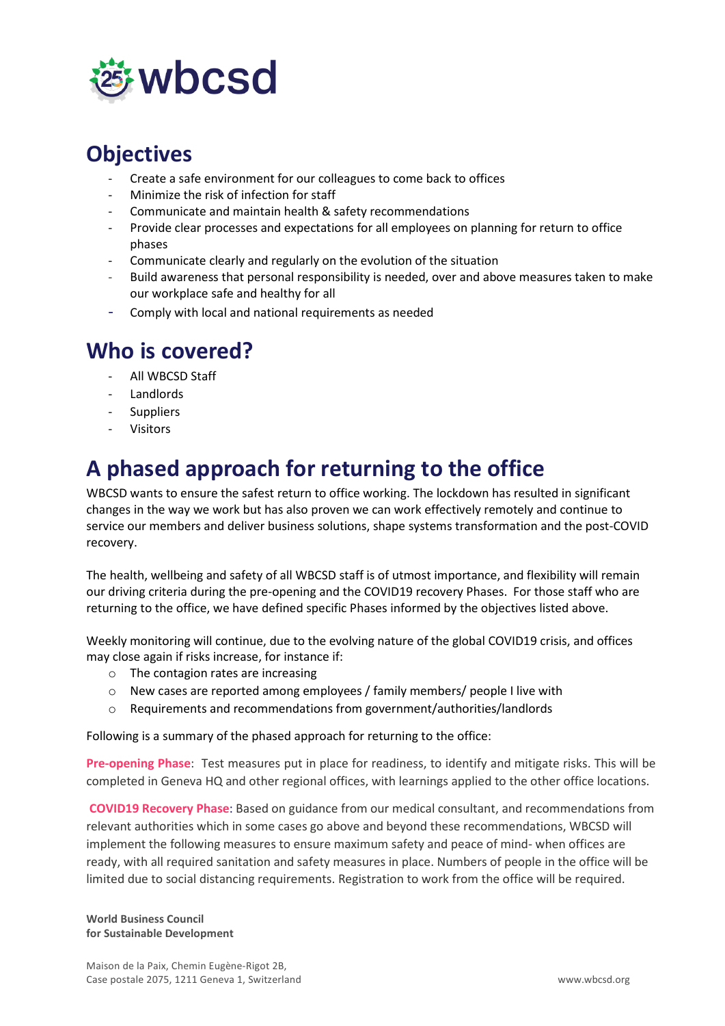

### <span id="page-1-0"></span>**Objectives**

- Create a safe environment for our colleagues to come back to offices
- Minimize the risk of infection for staff
- Communicate and maintain health & safety recommendations
- Provide clear processes and expectations for all employees on planning for return to office phases
- Communicate clearly and regularly on the evolution of the situation
- Build awareness that personal responsibility is needed, over and above measures taken to make our workplace safe and healthy for all
- Comply with local and national requirements as needed

### <span id="page-1-1"></span>**Who is covered?**

- All WBCSD Staff
- **Landlords**
- **Suppliers**
- **Visitors**

# <span id="page-1-2"></span>**A phased approach for returning to the office**

WBCSD wants to ensure the safest return to office working. The lockdown has resulted in significant changes in the way we work but has also proven we can work effectively remotely and continue to service our members and deliver business solutions, shape systems transformation and the post-COVID recovery.

The health, wellbeing and safety of all WBCSD staff is of utmost importance, and flexibility will remain our driving criteria during the pre-opening and the COVID19 recovery Phases. For those staff who are returning to the office, we have defined specific Phases informed by the objectives listed above.

Weekly monitoring will continue, due to the evolving nature of the global COVID19 crisis, and offices may close again if risks increase, for instance if:

- o The contagion rates are increasing
- o New cases are reported among employees / family members/ people I live with
- o Requirements and recommendations from government/authorities/landlords

Following is a summary of the phased approach for returning to the office:

**Pre-opening Phase**: Test measures put in place for readiness, to identify and mitigate risks. This will be completed in Geneva HQ and other regional offices, with learnings applied to the other office locations.

**COVID19 Recovery Phase**: Based on guidance from our medical consultant, and recommendations from relevant authorities which in some cases go above and beyond these recommendations, WBCSD will implement the following measures to ensure maximum safety and peace of mind- when offices are ready, with all required sanitation and safety measures in place. Numbers of people in the office will be limited due to social distancing requirements. Registration to work from the office will be required.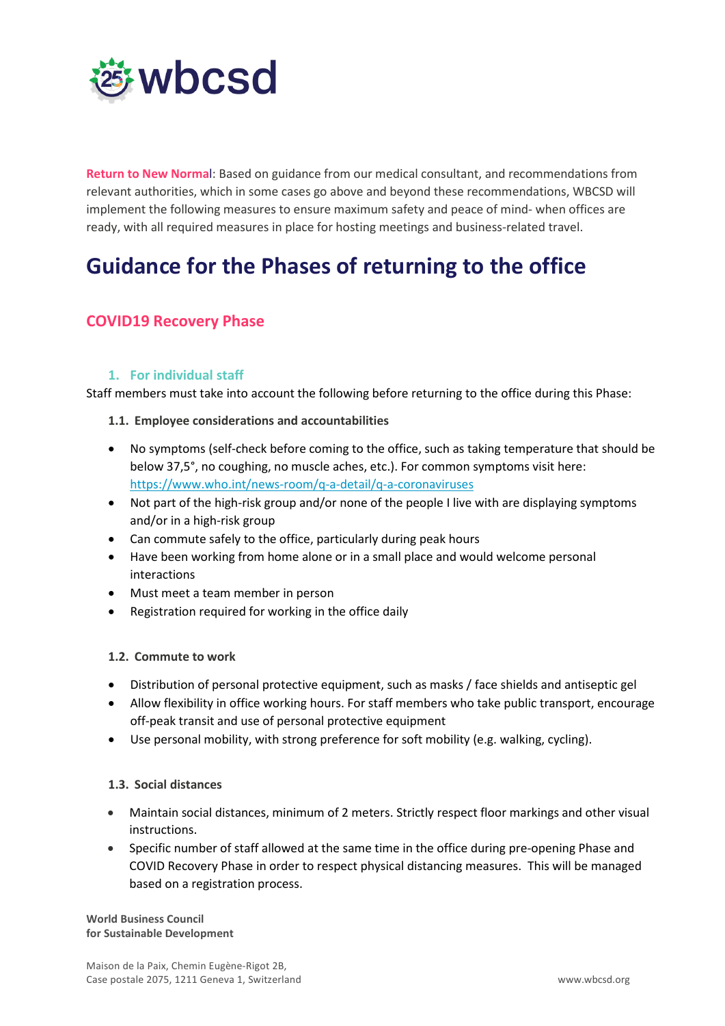

**Return to New Norma**l: Based on guidance from our medical consultant, and recommendations from relevant authorities, which in some cases go above and beyond these recommendations, WBCSD will implement the following measures to ensure maximum safety and peace of mind- when offices are ready, with all required measures in place for hosting meetings and business-related travel.

### <span id="page-2-0"></span>**Guidance for the Phases of returning to the office**

### <span id="page-2-1"></span>**COVID19 Recovery Phase**

#### **1. For individual staff**

<span id="page-2-2"></span>Staff members must take into account the following before returning to the office during this Phase:

#### <span id="page-2-3"></span>**1.1. Employee considerations and accountabilities**

- No symptoms (self-check before coming to the office, such as taking temperature that should be below 37,5°, no coughing, no muscle aches, etc.). For common symptoms visit here: <https://www.who.int/news-room/q-a-detail/q-a-coronaviruses>
- Not part of the high-risk group and/or none of the people I live with are displaying symptoms and/or in a high-risk group
- Can commute safely to the office, particularly during peak hours
- Have been working from home alone or in a small place and would welcome personal interactions
- Must meet a team member in person
- Registration required for working in the office daily

#### <span id="page-2-4"></span>**1.2. Commute to work**

- Distribution of personal protective equipment, such as masks / face shields and antiseptic gel
- Allow flexibility in office working hours. For staff members who take public transport, encourage off-peak transit and use of personal protective equipment
- Use personal mobility, with strong preference for soft mobility (e.g. walking, cycling).

#### <span id="page-2-5"></span>**1.3. Social distances**

- Maintain social distances, minimum of 2 meters. Strictly respect floor markings and other visual instructions.
- Specific number of staff allowed at the same time in the office during pre-opening Phase and COVID Recovery Phase in order to respect physical distancing measures. This will be managed based on a registration process.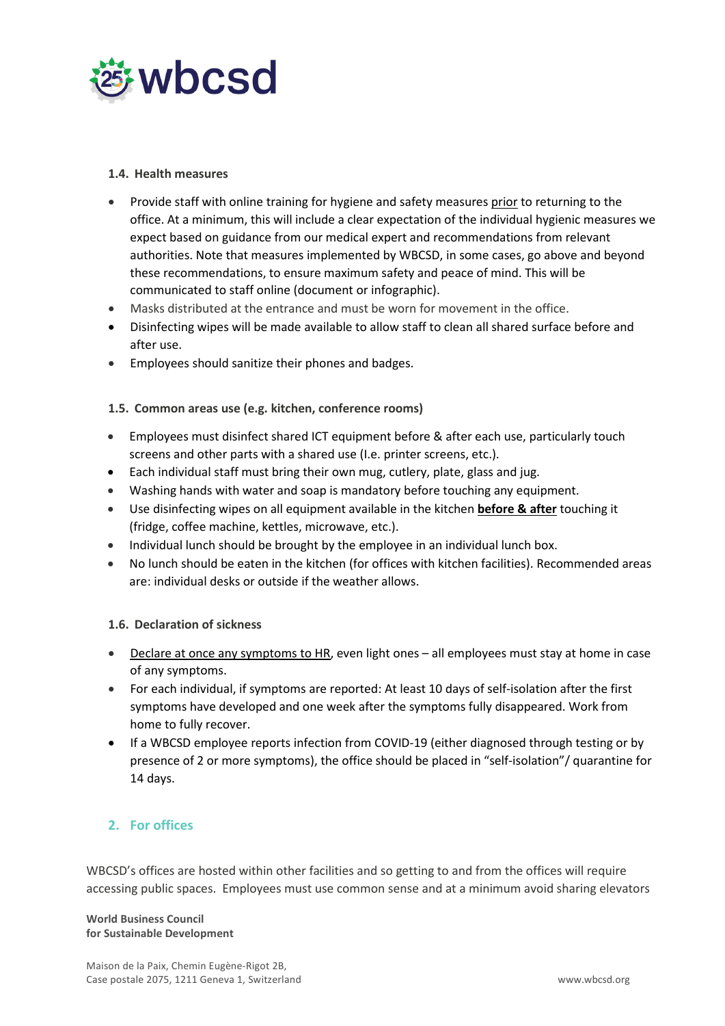

#### <span id="page-3-0"></span>**1.4. Health measures**

- Provide staff with online training for hygiene and safety measures prior to returning to the office. At a minimum, this will include a clear expectation of the individual hygienic measures we expect based on guidance from our medical expert and recommendations from relevant authorities. Note that measures implemented by WBCSD, in some cases, go above and beyond these recommendations, to ensure maximum safety and peace of mind. This will be communicated to staff online (document or infographic).
- Masks distributed at the entrance and must be worn for movement in the office.
- Disinfecting wipes will be made available to allow staff to clean all shared surface before and after use.
- Employees should sanitize their phones and badges.

#### <span id="page-3-1"></span>**1.5. Common areas use (e.g. kitchen, conference rooms)**

- Employees must disinfect shared ICT equipment before & after each use, particularly touch screens and other parts with a shared use (I.e. printer screens, etc.).
- Each individual staff must bring their own mug, cutlery, plate, glass and jug.
- Washing hands with water and soap is mandatory before touching any equipment.
- Use disinfecting wipes on all equipment available in the kitchen **before & after** touching it (fridge, coffee machine, kettles, microwave, etc.).
- Individual lunch should be brought by the employee in an individual lunch box.
- No lunch should be eaten in the kitchen (for offices with kitchen facilities). Recommended areas are: individual desks or outside if the weather allows.

#### <span id="page-3-2"></span>**1.6. Declaration of sickness**

- Declare at once any symptoms to HR, even light ones all employees must stay at home in case of any symptoms.
- For each individual, if symptoms are reported: At least 10 days of self-isolation after the first symptoms have developed and one week after the symptoms fully disappeared. Work from home to fully recover.
- If a WBCSD employee reports infection from COVID-19 (either diagnosed through testing or by presence of 2 or more symptoms), the office should be placed in "self-isolation"/ quarantine for 14 days.

#### <span id="page-3-3"></span>**2. For offices**

WBCSD's offices are hosted within other facilities and so getting to and from the offices will require accessing public spaces. Employees must use common sense and at a minimum avoid sharing elevators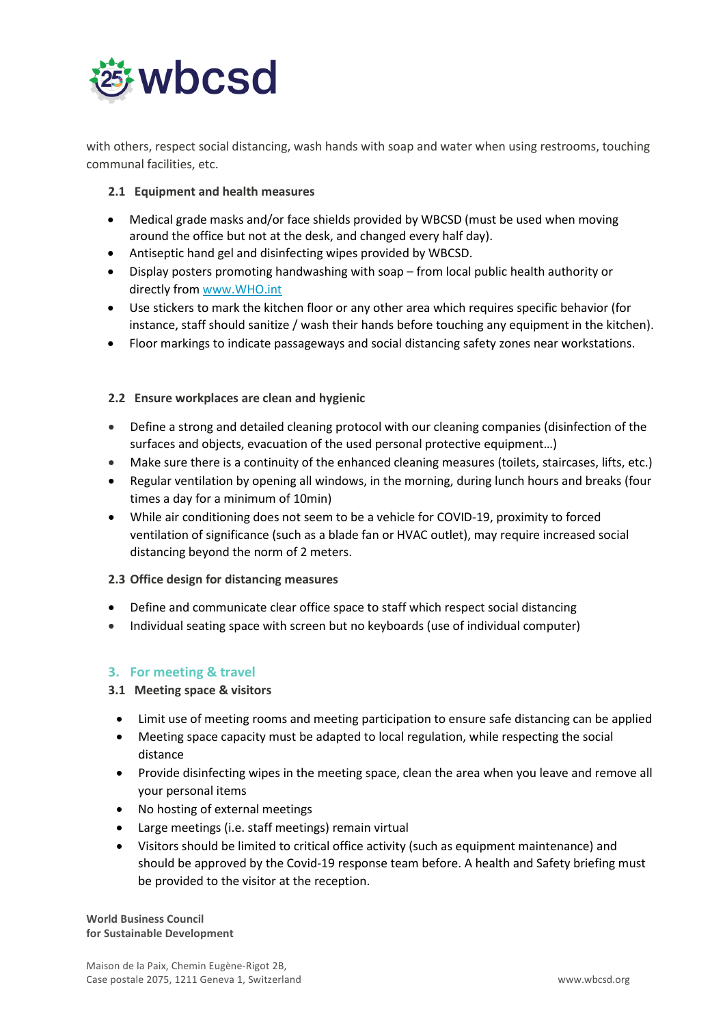

with others, respect social distancing, wash hands with soap and water when using restrooms, touching communal facilities, etc.

#### <span id="page-4-0"></span>**2.1 Equipment and health measures**

- Medical grade masks and/or face shields provided by WBCSD (must be used when moving around the office but not at the desk, and changed every half day).
- Antiseptic hand gel and disinfecting wipes provided by WBCSD.
- Display posters promoting handwashing with soap from local public health authority or directly fro[m www.WHO.int](http://www.who.int/)
- Use stickers to mark the kitchen floor or any other area which requires specific behavior (for instance, staff should sanitize / wash their hands before touching any equipment in the kitchen).
- Floor markings to indicate passageways and social distancing safety zones near workstations.

#### <span id="page-4-1"></span>**2.2 Ensure workplaces are clean and hygienic**

- Define a strong and detailed cleaning protocol with our cleaning companies (disinfection of the surfaces and objects, evacuation of the used personal protective equipment…)
- Make sure there is a continuity of the enhanced cleaning measures (toilets, staircases, lifts, etc.)
- Regular ventilation by opening all windows, in the morning, during lunch hours and breaks (four times a day for a minimum of 10min)
- While air conditioning does not seem to be a vehicle for COVID-19, proximity to forced ventilation of significance (such as a blade fan or HVAC outlet), may require increased social distancing beyond the norm of 2 meters.

#### <span id="page-4-2"></span>**2.3 Office design for distancing measures**

- Define and communicate clear office space to staff which respect social distancing
- Individual seating space with screen but no keyboards (use of individual computer)

#### <span id="page-4-3"></span>**3. For meeting & travel**

#### <span id="page-4-4"></span>**3.1 Meeting space & visitors**

- Limit use of meeting rooms and meeting participation to ensure safe distancing can be applied
- Meeting space capacity must be adapted to local regulation, while respecting the social distance
- Provide disinfecting wipes in the meeting space, clean the area when you leave and remove all your personal items
- No hosting of external meetings
- Large meetings (i.e. staff meetings) remain virtual
- Visitors should be limited to critical office activity (such as equipment maintenance) and should be approved by the Covid-19 response team before. A health and Safety briefing must be provided to the visitor at the reception.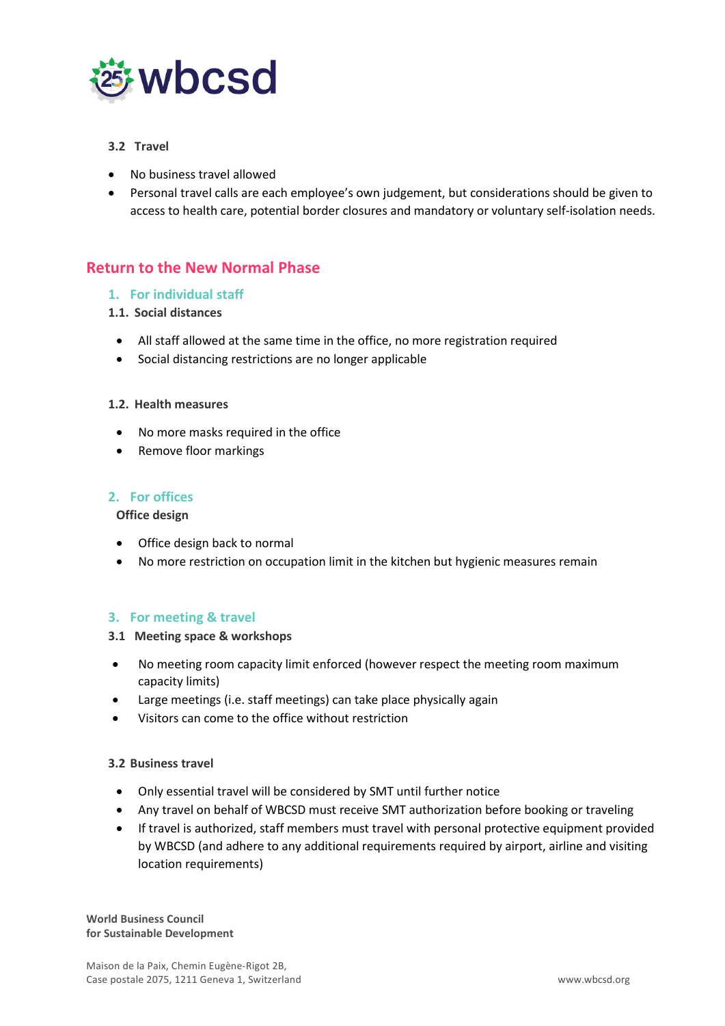

#### <span id="page-5-0"></span>**3.2 Travel**

- No business travel allowed
- Personal travel calls are each employee's own judgement, but considerations should be given to access to health care, potential border closures and mandatory or voluntary self-isolation needs.

### <span id="page-5-1"></span>**Return to the New Normal Phase**

#### <span id="page-5-2"></span>**1. For individual staff**

#### <span id="page-5-3"></span>**1.1. Social distances**

- All staff allowed at the same time in the office, no more registration required
- Social distancing restrictions are no longer applicable

#### <span id="page-5-4"></span>**1.2. Health measures**

- No more masks required in the office
- Remove floor markings

#### <span id="page-5-6"></span><span id="page-5-5"></span>**2. For offices**

#### **Office design**

- Office design back to normal
- No more restriction on occupation limit in the kitchen but hygienic measures remain

#### <span id="page-5-7"></span>**3. For meeting & travel**

#### <span id="page-5-8"></span>**3.1 Meeting space & workshops**

- No meeting room capacity limit enforced (however respect the meeting room maximum capacity limits)
- Large meetings (i.e. staff meetings) can take place physically again
- Visitors can come to the office without restriction

#### <span id="page-5-9"></span>**3.2 Business travel**

- Only essential travel will be considered by SMT until further notice
- Any travel on behalf of WBCSD must receive SMT authorization before booking or traveling
- If travel is authorized, staff members must travel with personal protective equipment provided by WBCSD (and adhere to any additional requirements required by airport, airline and visiting location requirements)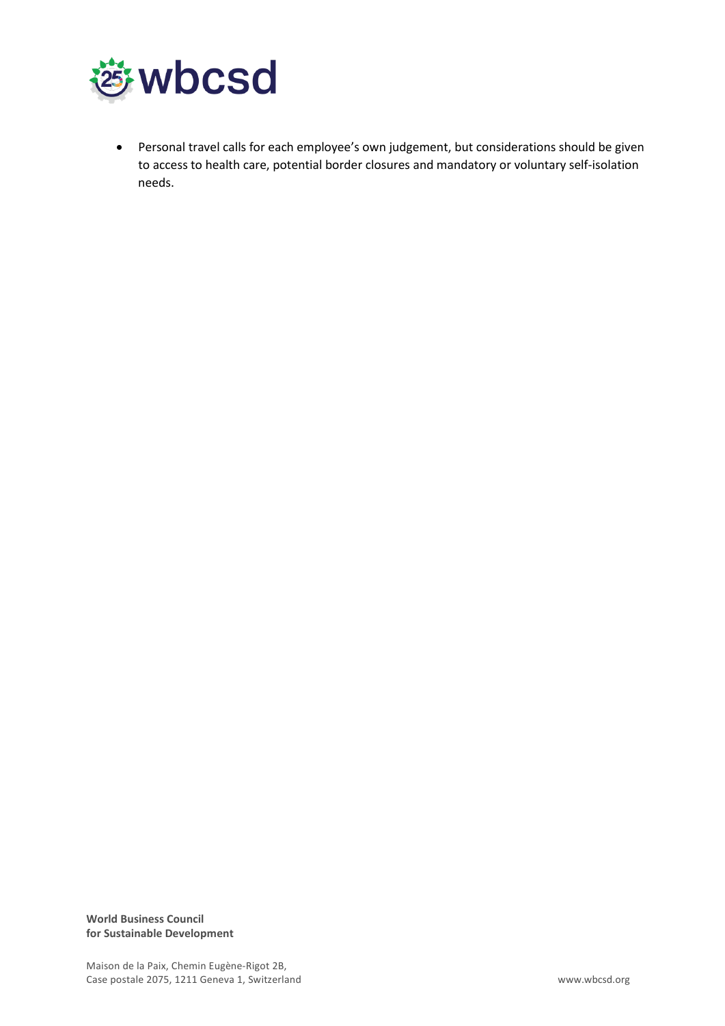

• Personal travel calls for each employee's own judgement, but considerations should be given to access to health care, potential border closures and mandatory or voluntary self-isolation needs.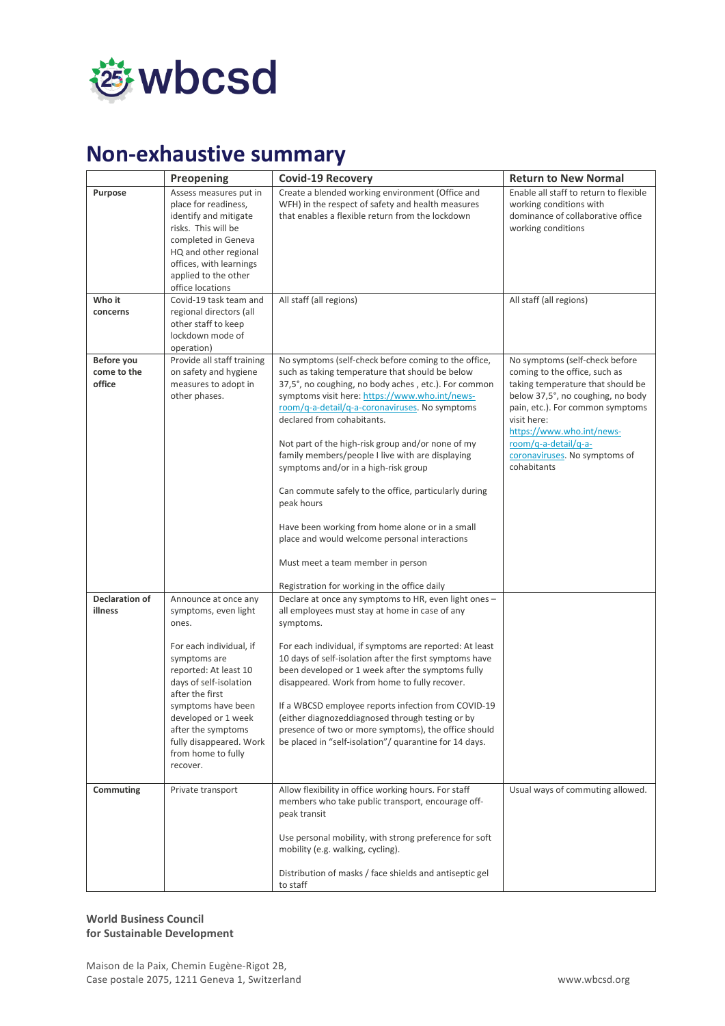

# <span id="page-7-0"></span>**Non-exhaustive summary**

|                                  | Preopening                                                                                                                                                                                                            | <b>Covid-19 Recovery</b>                                                                                                                                                                                                                                                                       | <b>Return to New Normal</b>                                                                                                                                                                                     |
|----------------------------------|-----------------------------------------------------------------------------------------------------------------------------------------------------------------------------------------------------------------------|------------------------------------------------------------------------------------------------------------------------------------------------------------------------------------------------------------------------------------------------------------------------------------------------|-----------------------------------------------------------------------------------------------------------------------------------------------------------------------------------------------------------------|
| Purpose                          | Assess measures put in<br>place for readiness,<br>identify and mitigate<br>risks. This will be<br>completed in Geneva<br>HQ and other regional<br>offices, with learnings<br>applied to the other<br>office locations | Create a blended working environment (Office and<br>WFH) in the respect of safety and health measures<br>that enables a flexible return from the lockdown                                                                                                                                      | Enable all staff to return to flexible<br>working conditions with<br>dominance of collaborative office<br>working conditions                                                                                    |
| Who it                           | Covid-19 task team and                                                                                                                                                                                                | All staff (all regions)                                                                                                                                                                                                                                                                        | All staff (all regions)                                                                                                                                                                                         |
| concerns                         | regional directors (all<br>other staff to keep<br>lockdown mode of<br>operation)                                                                                                                                      |                                                                                                                                                                                                                                                                                                |                                                                                                                                                                                                                 |
| Before you                       | Provide all staff training                                                                                                                                                                                            | No symptoms (self-check before coming to the office,                                                                                                                                                                                                                                           | No symptoms (self-check before                                                                                                                                                                                  |
| come to the<br>office            | on safety and hygiene<br>measures to adopt in<br>other phases.                                                                                                                                                        | such as taking temperature that should be below<br>37,5°, no coughing, no body aches, etc.). For common<br>symptoms visit here: https://www.who.int/news-<br>room/q-a-detail/q-a-coronaviruses. No symptoms<br>declared from cohabitants.<br>Not part of the high-risk group and/or none of my | coming to the office, such as<br>taking temperature that should be<br>below 37,5°, no coughing, no body<br>pain, etc.). For common symptoms<br>visit here:<br>https://www.who.int/news-<br>room/q-a-detail/q-a- |
|                                  |                                                                                                                                                                                                                       | family members/people I live with are displaying<br>symptoms and/or in a high-risk group                                                                                                                                                                                                       | coronaviruses. No symptoms of<br>cohabitants                                                                                                                                                                    |
|                                  |                                                                                                                                                                                                                       | Can commute safely to the office, particularly during<br>peak hours                                                                                                                                                                                                                            |                                                                                                                                                                                                                 |
|                                  |                                                                                                                                                                                                                       | Have been working from home alone or in a small<br>place and would welcome personal interactions                                                                                                                                                                                               |                                                                                                                                                                                                                 |
|                                  |                                                                                                                                                                                                                       | Must meet a team member in person                                                                                                                                                                                                                                                              |                                                                                                                                                                                                                 |
|                                  |                                                                                                                                                                                                                       | Registration for working in the office daily                                                                                                                                                                                                                                                   |                                                                                                                                                                                                                 |
| <b>Declaration of</b><br>illness | Announce at once any<br>symptoms, even light<br>ones.                                                                                                                                                                 | Declare at once any symptoms to HR, even light ones -<br>all employees must stay at home in case of any<br>symptoms.                                                                                                                                                                           |                                                                                                                                                                                                                 |
|                                  | For each individual, if<br>symptoms are<br>reported: At least 10<br>days of self-isolation<br>after the first                                                                                                         | For each individual, if symptoms are reported: At least<br>10 days of self-isolation after the first symptoms have<br>been developed or 1 week after the symptoms fully<br>disappeared. Work from home to fully recover.                                                                       |                                                                                                                                                                                                                 |
|                                  | symptoms have been<br>developed or 1 week<br>after the symptoms<br>fully disappeared. Work<br>from home to fully<br>recover.                                                                                          | If a WBCSD employee reports infection from COVID-19<br>(either diagnozeddiagnosed through testing or by<br>presence of two or more symptoms), the office should<br>be placed in "self-isolation"/ quarantine for 14 days.                                                                      |                                                                                                                                                                                                                 |
| Commuting                        | Private transport                                                                                                                                                                                                     | Allow flexibility in office working hours. For staff<br>members who take public transport, encourage off-<br>peak transit                                                                                                                                                                      | Usual ways of commuting allowed.                                                                                                                                                                                |
|                                  |                                                                                                                                                                                                                       | Use personal mobility, with strong preference for soft<br>mobility (e.g. walking, cycling).                                                                                                                                                                                                    |                                                                                                                                                                                                                 |
|                                  |                                                                                                                                                                                                                       | Distribution of masks / face shields and antiseptic gel<br>to staff                                                                                                                                                                                                                            |                                                                                                                                                                                                                 |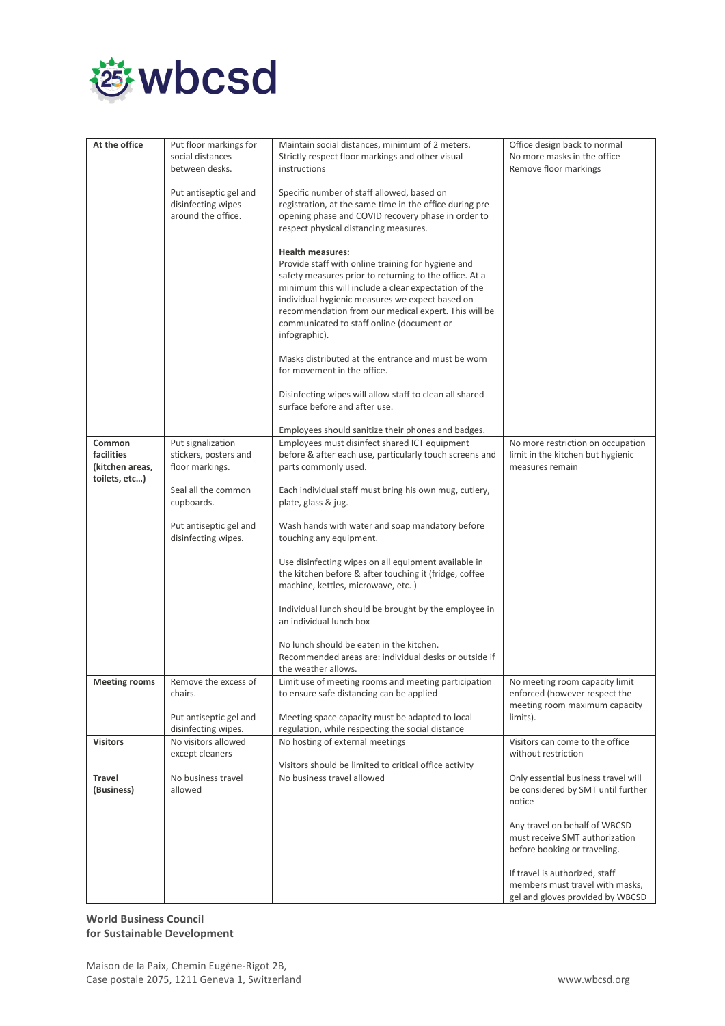

| At the office                                  | Put floor markings for<br>social distances<br>between desks.       | Maintain social distances, minimum of 2 meters.<br>Strictly respect floor markings and other visual<br>instructions                                                                                                                                                                                                                                                      | Office design back to normal<br>No more masks in the office<br>Remove floor markings                  |
|------------------------------------------------|--------------------------------------------------------------------|--------------------------------------------------------------------------------------------------------------------------------------------------------------------------------------------------------------------------------------------------------------------------------------------------------------------------------------------------------------------------|-------------------------------------------------------------------------------------------------------|
|                                                | Put antiseptic gel and<br>disinfecting wipes<br>around the office. | Specific number of staff allowed, based on<br>registration, at the same time in the office during pre-<br>opening phase and COVID recovery phase in order to<br>respect physical distancing measures.                                                                                                                                                                    |                                                                                                       |
|                                                |                                                                    | <b>Health measures:</b><br>Provide staff with online training for hygiene and<br>safety measures prior to returning to the office. At a<br>minimum this will include a clear expectation of the<br>individual hygienic measures we expect based on<br>recommendation from our medical expert. This will be<br>communicated to staff online (document or<br>infographic). |                                                                                                       |
|                                                |                                                                    | Masks distributed at the entrance and must be worn<br>for movement in the office.                                                                                                                                                                                                                                                                                        |                                                                                                       |
|                                                |                                                                    | Disinfecting wipes will allow staff to clean all shared<br>surface before and after use.                                                                                                                                                                                                                                                                                 |                                                                                                       |
|                                                |                                                                    | Employees should sanitize their phones and badges.                                                                                                                                                                                                                                                                                                                       |                                                                                                       |
| Common                                         | Put signalization                                                  | Employees must disinfect shared ICT equipment                                                                                                                                                                                                                                                                                                                            | No more restriction on occupation                                                                     |
| facilities<br>(kitchen areas,<br>toilets, etc) | stickers, posters and<br>floor markings.                           | before & after each use, particularly touch screens and<br>parts commonly used.                                                                                                                                                                                                                                                                                          | limit in the kitchen but hygienic<br>measures remain                                                  |
|                                                | Seal all the common<br>cupboards.                                  | Each individual staff must bring his own mug, cutlery,<br>plate, glass & jug.                                                                                                                                                                                                                                                                                            |                                                                                                       |
|                                                | Put antiseptic gel and<br>disinfecting wipes.                      | Wash hands with water and soap mandatory before<br>touching any equipment.                                                                                                                                                                                                                                                                                               |                                                                                                       |
|                                                |                                                                    | Use disinfecting wipes on all equipment available in<br>the kitchen before & after touching it (fridge, coffee<br>machine, kettles, microwave, etc.)                                                                                                                                                                                                                     |                                                                                                       |
|                                                |                                                                    | Individual lunch should be brought by the employee in<br>an individual lunch box                                                                                                                                                                                                                                                                                         |                                                                                                       |
|                                                |                                                                    | No lunch should be eaten in the kitchen.                                                                                                                                                                                                                                                                                                                                 |                                                                                                       |
|                                                |                                                                    | Recommended areas are: individual desks or outside if<br>the weather allows.                                                                                                                                                                                                                                                                                             |                                                                                                       |
| <b>Meeting rooms</b>                           | Remove the excess of<br>chairs.                                    | Limit use of meeting rooms and meeting participation<br>to ensure safe distancing can be applied                                                                                                                                                                                                                                                                         | No meeting room capacity limit<br>enforced (however respect the<br>meeting room maximum capacity      |
|                                                | Put antiseptic gel and<br>disinfecting wipes.                      | Meeting space capacity must be adapted to local<br>regulation, while respecting the social distance                                                                                                                                                                                                                                                                      | limits).                                                                                              |
| <b>Visitors</b>                                | No visitors allowed<br>except cleaners                             | No hosting of external meetings<br>Visitors should be limited to critical office activity                                                                                                                                                                                                                                                                                | Visitors can come to the office<br>without restriction                                                |
| Travel<br>(Business)                           | No business travel<br>allowed                                      | No business travel allowed                                                                                                                                                                                                                                                                                                                                               | Only essential business travel will<br>be considered by SMT until further<br>notice                   |
|                                                |                                                                    |                                                                                                                                                                                                                                                                                                                                                                          | Any travel on behalf of WBCSD<br>must receive SMT authorization<br>before booking or traveling.       |
|                                                |                                                                    |                                                                                                                                                                                                                                                                                                                                                                          | If travel is authorized, staff<br>members must travel with masks,<br>gel and gloves provided by WBCSD |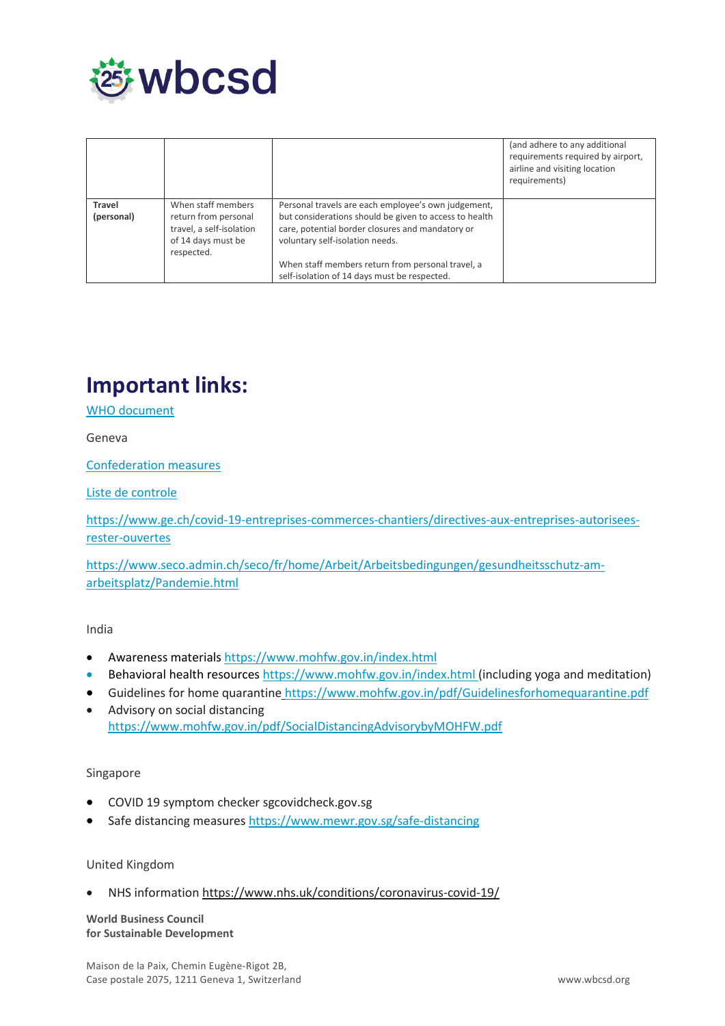

|                             |                                                                                                            |                                                                                                                                                                                                      | (and adhere to any additional<br>requirements required by airport,<br>airline and visiting location<br>requirements) |
|-----------------------------|------------------------------------------------------------------------------------------------------------|------------------------------------------------------------------------------------------------------------------------------------------------------------------------------------------------------|----------------------------------------------------------------------------------------------------------------------|
| <b>Travel</b><br>(personal) | When staff members<br>return from personal<br>travel, a self-isolation<br>of 14 days must be<br>respected. | Personal travels are each employee's own judgement,<br>but considerations should be given to access to health<br>care, potential border closures and mandatory or<br>voluntary self-isolation needs. |                                                                                                                      |
|                             |                                                                                                            | When staff members return from personal travel, a<br>self-isolation of 14 days must be respected.                                                                                                    |                                                                                                                      |

### <span id="page-9-0"></span>**Important links:**

[WHO document](https://www.who.int/docs/default-source/coronaviruse/advice-for-workplace-clean-19-03-2020.pdf)

Geneva

[Confederation measures](https://www.bag.admin.ch/bag/en/home/krankheiten/ausbrueche-epidemien-pandemien/aktuelle-ausbrueche-epidemien/novel-cov/massnahmen-des-bundes.html)

#### [Liste de controle](https://wbcsd.sharepoint.com/:b:/g/PeopleResources/HR/EU3aTp0mr4JOieiJKNOG5NsB4usK8D7dgXhls7shL4WhHg?e=uXXPhw)

[https://www.ge.ch/covid-19-entreprises-commerces-chantiers/directives-aux-entreprises-autorisees](https://www.ge.ch/covid-19-entreprises-commerces-chantiers/directives-aux-entreprises-autorisees-rester-ouvertes)[rester-ouvertes](https://www.ge.ch/covid-19-entreprises-commerces-chantiers/directives-aux-entreprises-autorisees-rester-ouvertes)

[https://www.seco.admin.ch/seco/fr/home/Arbeit/Arbeitsbedingungen/gesundheitsschutz-am](https://www.seco.admin.ch/seco/fr/home/Arbeit/Arbeitsbedingungen/gesundheitsschutz-am-arbeitsplatz/Pandemie.html)[arbeitsplatz/Pandemie.html](https://www.seco.admin.ch/seco/fr/home/Arbeit/Arbeitsbedingungen/gesundheitsschutz-am-arbeitsplatz/Pandemie.html)

#### India

- Awareness materials<https://www.mohfw.gov.in/index.html>
- Behavioral health resource[s https://www.mohfw.gov.in/index.html](https://www.mohfw.gov.in/index.html) (including yoga and meditation)
- Guidelines for home quarantine <https://www.mohfw.gov.in/pdf/Guidelinesforhomequarantine.pdf>
- Advisory on social distancing <https://www.mohfw.gov.in/pdf/SocialDistancingAdvisorybyMOHFW.pdf>

#### Singapore

- COVID 19 symptom checker sgcovidcheck.gov.sg
- Safe distancing measures<https://www.mewr.gov.sg/safe-distancing>

#### United Kingdom

• NHS information<https://www.nhs.uk/conditions/coronavirus-covid-19/>